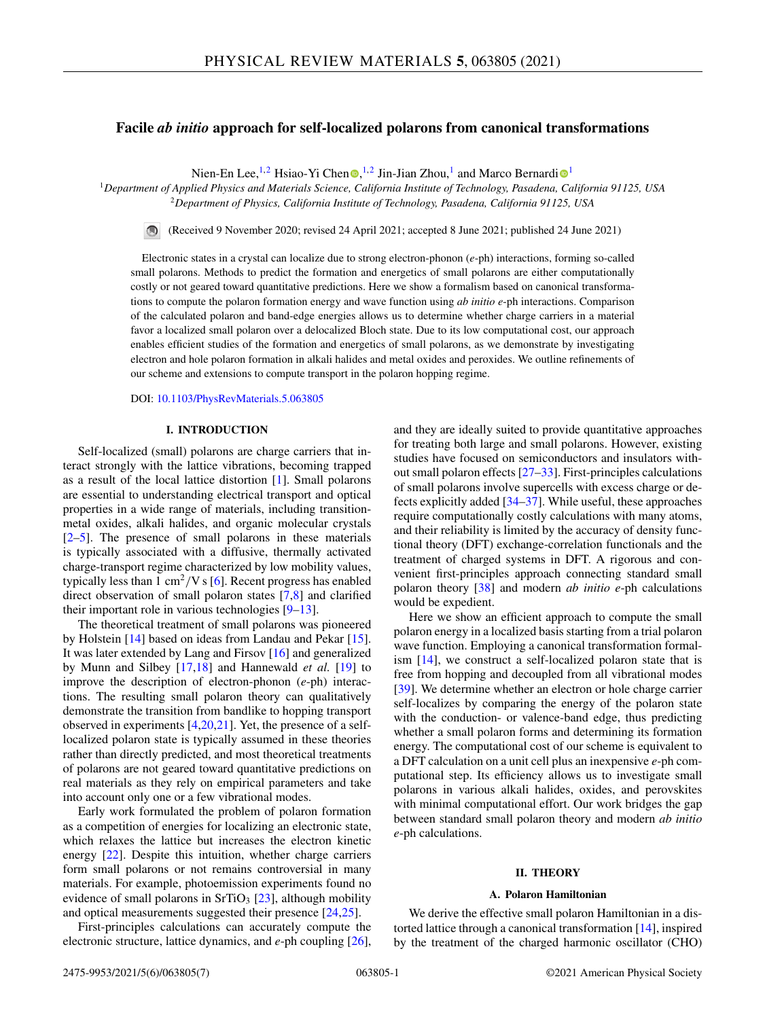# **Facile** *ab initio* **approach for self-localized polarons from canonical transformations**

Nien-En Lee[,](https://orcid.org/0000-0003-1962-5767)<sup>1,2</sup> Hs[i](https://orcid.org/0000-0001-7289-9666)ao-Yi Chen <sup>0,1,2</sup> Jin-Jian Zhou,<sup>1</sup> and Marco Bernardi <sup>0</sup>

<sup>1</sup>*Department of Applied Physics and Materials Science, California Institute of Technology, Pasadena, California 91125, USA* <sup>2</sup>*Department of Physics, California Institute of Technology, Pasadena, California 91125, USA*

(Received 9 November 2020; revised 24 April 2021; accepted 8 June 2021; published 24 June 2021)  $\bigcirc$ 

Electronic states in a crystal can localize due to strong electron-phonon (*e*-ph) interactions, forming so-called small polarons. Methods to predict the formation and energetics of small polarons are either computationally costly or not geared toward quantitative predictions. Here we show a formalism based on canonical transformations to compute the polaron formation energy and wave function using *ab initio e*-ph interactions. Comparison of the calculated polaron and band-edge energies allows us to determine whether charge carriers in a material favor a localized small polaron over a delocalized Bloch state. Due to its low computational cost, our approach enables efficient studies of the formation and energetics of small polarons, as we demonstrate by investigating electron and hole polaron formation in alkali halides and metal oxides and peroxides. We outline refinements of our scheme and extensions to compute transport in the polaron hopping regime.

DOI: [10.1103/PhysRevMaterials.5.063805](https://doi.org/10.1103/PhysRevMaterials.5.063805)

## **I. INTRODUCTION**

Self-localized (small) polarons are charge carriers that interact strongly with the lattice vibrations, becoming trapped as a result of the local lattice distortion [\[1\]](#page-5-0). Small polarons are essential to understanding electrical transport and optical properties in a wide range of materials, including transitionmetal oxides, alkali halides, and organic molecular crystals [\[2–5\]](#page-5-0). The presence of small polarons in these materials is typically associated with a diffusive, thermally activated charge-transport regime characterized by low mobility values, typically less than 1 cm<sup>2</sup>/V s [\[6\]](#page-5-0). Recent progress has enabled direct observation of small polaron states [\[7,8\]](#page-5-0) and clarified their important role in various technologies [\[9–13\]](#page-5-0).

The theoretical treatment of small polarons was pioneered by Holstein [\[14\]](#page-5-0) based on ideas from Landau and Pekar [\[15\]](#page-5-0). It was later extended by Lang and Firsov [\[16\]](#page-5-0) and generalized by Munn and Silbey [\[17,18\]](#page-5-0) and Hannewald *et al.* [\[19\]](#page-5-0) to improve the description of electron-phonon (*e*-ph) interactions. The resulting small polaron theory can qualitatively demonstrate the transition from bandlike to hopping transport observed in experiments  $[4,20,21]$ . Yet, the presence of a selflocalized polaron state is typically assumed in these theories rather than directly predicted, and most theoretical treatments of polarons are not geared toward quantitative predictions on real materials as they rely on empirical parameters and take into account only one or a few vibrational modes.

Early work formulated the problem of polaron formation as a competition of energies for localizing an electronic state, which relaxes the lattice but increases the electron kinetic energy [\[22\]](#page-5-0). Despite this intuition, whether charge carriers form small polarons or not remains controversial in many materials. For example, photoemission experiments found no evidence of small polarons in SrTiO<sub>3</sub>  $[23]$ , although mobility and optical measurements suggested their presence [\[24,25\]](#page-5-0).

First-principles calculations can accurately compute the electronic structure, lattice dynamics, and *e*-ph coupling [\[26\]](#page-5-0), and they are ideally suited to provide quantitative approaches for treating both large and small polarons. However, existing studies have focused on semiconductors and insulators without small polaron effects [\[27–33\]](#page-5-0). First-principles calculations of small polarons involve supercells with excess charge or defects explicitly added [\[34–37\]](#page-5-0). While useful, these approaches require computationally costly calculations with many atoms, and their reliability is limited by the accuracy of density functional theory (DFT) exchange-correlation functionals and the treatment of charged systems in DFT. A rigorous and convenient first-principles approach connecting standard small polaron theory [\[38\]](#page-5-0) and modern *ab initio e*-ph calculations would be expedient.

Here we show an efficient approach to compute the small polaron energy in a localized basis starting from a trial polaron wave function. Employing a canonical transformation formalism [\[14\]](#page-5-0), we construct a self-localized polaron state that is free from hopping and decoupled from all vibrational modes [\[39\]](#page-5-0). We determine whether an electron or hole charge carrier self-localizes by comparing the energy of the polaron state with the conduction- or valence-band edge, thus predicting whether a small polaron forms and determining its formation energy. The computational cost of our scheme is equivalent to a DFT calculation on a unit cell plus an inexpensive *e*-ph computational step. Its efficiency allows us to investigate small polarons in various alkali halides, oxides, and perovskites with minimal computational effort. Our work bridges the gap between standard small polaron theory and modern *ab initio e*-ph calculations.

## **II. THEORY**

### **A. Polaron Hamiltonian**

We derive the effective small polaron Hamiltonian in a distorted lattice through a canonical transformation [\[14\]](#page-5-0), inspired by the treatment of the charged harmonic oscillator (CHO)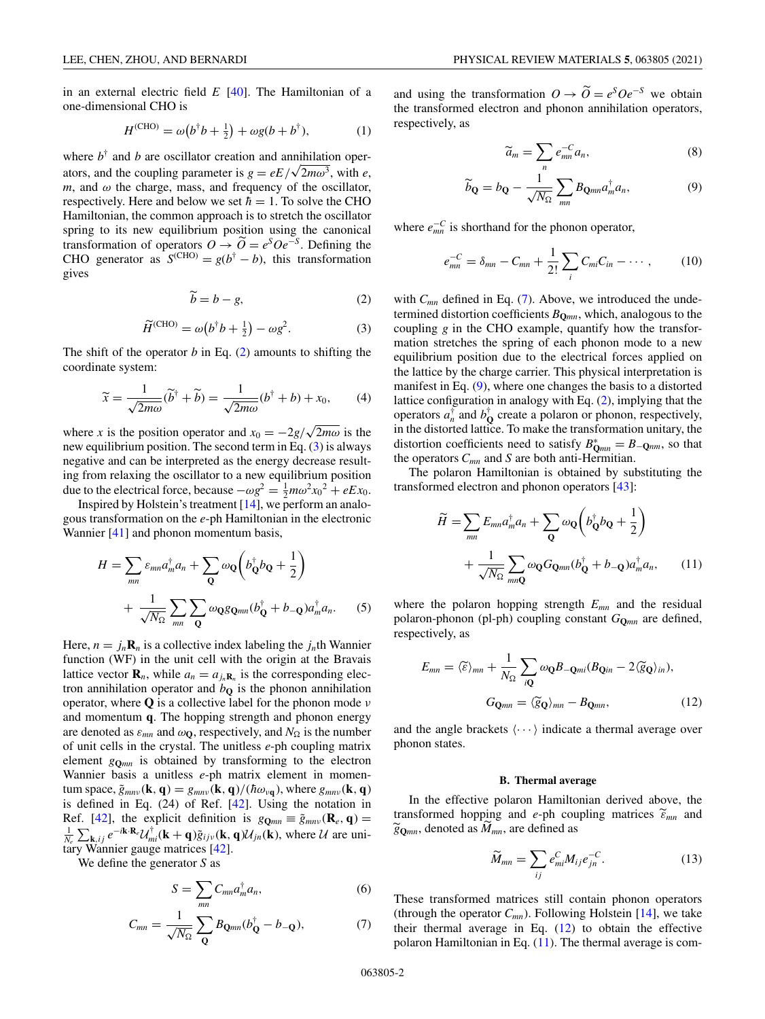<span id="page-1-0"></span>in an external electric field *E* [\[40\]](#page-6-0). The Hamiltonian of a one-dimensional CHO is

$$
H^{(\text{CHO})} = \omega(b^{\dagger}b + \frac{1}{2}) + \omega g(b + b^{\dagger}), \tag{1}
$$

where  $b^{\dagger}$  and *b* are oscillator creation and annihilation operators, and the coupling parameter is  $g = eE/\sqrt{2m\omega^3}$ , with *e*,  $m$ , and  $\omega$  the charge, mass, and frequency of the oscillator, respectively. Here and below we set  $\hbar = 1$ . To solve the CHO Hamiltonian, the common approach is to stretch the oscillator spring to its new equilibrium position using the canonical transformation of operators  $O \rightarrow \widetilde{O} = e^S O e^{-S}$ . Defining the CHO generator as  $S^{(CHO)} = g(b^{\dagger} - b)$ , this transformation gives

$$
\widetilde{b} = b - g,\tag{2}
$$

$$
\widetilde{H}^{\text{(CHO)}} = \omega \big(b^{\dagger} b + \frac{1}{2}\big) - \omega g^2. \tag{3}
$$

The shift of the operator *b* in Eq. (2) amounts to shifting the coordinate system:

$$
\widetilde{x} = \frac{1}{\sqrt{2m\omega}} (\widetilde{b}^{\dagger} + \widetilde{b}) = \frac{1}{\sqrt{2m\omega}} (b^{\dagger} + b) + x_0,
$$
 (4)

where *x* is the position operator and  $x_0 = -2g/\sqrt{2m\omega}$  is the new equilibrium position. The second term in Eq. (3) is always negative and can be interpreted as the energy decrease resulting from relaxing the oscillator to a new equilibrium position due to the electrical force, because  $-\omega g^2 = \frac{1}{2} m \omega^2 x_0^2 + eEx_0$ .

Inspired by Holstein's treatment [\[14\]](#page-5-0), we perform an analogous transformation on the *e*-ph Hamiltonian in the electronic Wannier [\[41\]](#page-6-0) and phonon momentum basis,

$$
H = \sum_{mn} \varepsilon_{mn} a_m^{\dagger} a_n + \sum_{\mathbf{Q}} \omega_{\mathbf{Q}} \left( b_{\mathbf{Q}}^{\dagger} b_{\mathbf{Q}} + \frac{1}{2} \right)
$$
  
+ 
$$
\frac{1}{\sqrt{N_{\Omega}}} \sum_{mn} \sum_{\mathbf{Q}} \omega_{\mathbf{Q}} g_{\mathbf{Q}mn} (b_{\mathbf{Q}}^{\dagger} + b_{-\mathbf{Q}}) a_m^{\dagger} a_n.
$$
 (5)

Here,  $n = j_n \mathbf{R}_n$  is a collective index labeling the  $j_n$ th Wannier function (WF) in the unit cell with the origin at the Bravais lattice vector  $\mathbf{R}_n$ , while  $a_n = a_{i_n} \mathbf{R}_n$  is the corresponding electron annihilation operator and  $b<sub>O</sub>$  is the phonon annihilation operator, where **Q** is a collective label for the phonon mode ν and momentum **q**. The hopping strength and phonon energy are denoted as  $\varepsilon_{mn}$  and  $\omega_{\mathbf{Q}}$ , respectively, and  $N_{\Omega}$  is the number of unit cells in the crystal. The unitless *e*-ph coupling matrix element  $g_{\text{Omn}}$  is obtained by transforming to the electron Wannier basis a unitless *e*-ph matrix element in momentum space,  $\tilde{g}_{mn\nu}(\mathbf{k}, \mathbf{q}) = g_{mn\nu}(\mathbf{k}, \mathbf{q})/(\hbar \omega_{\nu \mathbf{q}})$ , where  $g_{mn\nu}(\mathbf{k}, \mathbf{q})$ is defined in Eq. (24) of Ref. [\[42\]](#page-6-0). Using the notation in Ref. [\[42\]](#page-6-0), the explicit definition is  $g_{\mathbf{Q}_{mn}} \equiv \tilde{g}_{mn\nu}(\mathbf{R}_e, \mathbf{q}) =$  $\frac{1}{N_e} \sum_{\mathbf{k}, i j} e^{-i\mathbf{k} \cdot \mathbf{R}_e} \mathcal{U}^{\dagger}_{mi}(\mathbf{k} + \mathbf{q}) \tilde{g}_{ij\nu}(\mathbf{k}, \mathbf{q}) \mathcal{U}_{jn}(\mathbf{k})$ , where U are unitary Wannier gauge matrices [\[42\]](#page-6-0).

We define the generator *S* as

$$
S = \sum_{mn} C_{mn} a_m^{\dagger} a_n, \tag{6}
$$

$$
C_{mn} = \frac{1}{\sqrt{N_{\Omega}}} \sum_{\mathbf{Q}} B_{\mathbf{Q}mn} (b_{\mathbf{Q}}^{\dagger} - b_{-\mathbf{Q}}), \tag{7}
$$

and using the transformation  $O \to \widetilde{O} = e^S O e^{-S}$  we obtain the transformed electron and phonon annihilation operators, respectively, as

$$
\widetilde{a}_m = \sum_n e_{mn}^{-C} a_n,\tag{8}
$$

$$
\widetilde{b}_{\mathbf{Q}} = b_{\mathbf{Q}} - \frac{1}{\sqrt{N_{\Omega}}} \sum_{mn} B_{\mathbf{Q}mn} a_m^{\dagger} a_n, \tag{9}
$$

where  $e_{mn}^{-C}$  is shorthand for the phonon operator,

$$
e_{mn}^{-C} = \delta_{mn} - C_{mn} + \frac{1}{2!} \sum_{i} C_{mi} C_{in} - \cdots, \qquad (10)
$$

with *C<sub>mn</sub>* defined in Eq. (7). Above, we introduced the undetermined distortion coefficients *B***Q***mn*, which, analogous to the coupling *g* in the CHO example, quantify how the transformation stretches the spring of each phonon mode to a new equilibrium position due to the electrical forces applied on the lattice by the charge carrier. This physical interpretation is manifest in Eq.  $(9)$ , where one changes the basis to a distorted lattice configuration in analogy with Eq. (2), implying that the operators  $a_n^{\dagger}$  and  $b_0^{\dagger}$  create a polaron or phonon, respectively, in the distorted lattice. To make the transformation unitary, the distortion coefficients need to satisfy  $B_{\text{Q}_{mn}}^* = B_{-\text{Q}_{nm}}$ , so that the operators *Cmn* and *S* are both anti-Hermitian.

The polaron Hamiltonian is obtained by substituting the transformed electron and phonon operators [\[43\]](#page-6-0):

$$
\widetilde{H} = \sum_{mn} E_{mn} a_m^{\dagger} a_n + \sum_{\mathbf{Q}} \omega_{\mathbf{Q}} \left( b_{\mathbf{Q}}^{\dagger} b_{\mathbf{Q}} + \frac{1}{2} \right) + \frac{1}{\sqrt{N_{\Omega}}} \sum_{mn\mathbf{Q}} \omega_{\mathbf{Q}} G_{\mathbf{Q}mn} (b_{\mathbf{Q}}^{\dagger} + b_{-\mathbf{Q}}) a_m^{\dagger} a_n, \qquad (11)
$$

where the polaron hopping strength *Emn* and the residual polaron-phonon (pl-ph) coupling constant *G***Q***mn* are defined, respectively, as

$$
E_{mn} = \langle \widetilde{\varepsilon} \rangle_{mn} + \frac{1}{N_{\Omega}} \sum_{i\mathbf{Q}} \omega_{\mathbf{Q}} B_{-\mathbf{Q}mi} (B_{\mathbf{Q}in} - 2 \langle \widetilde{\varepsilon}_{\mathbf{Q}} \rangle_{in}),
$$
  

$$
G_{\mathbf{Q}mn} = \langle \widetilde{\varepsilon}_{\mathbf{Q}} \rangle_{mn} - B_{\mathbf{Q}mn},
$$
 (12)

and the angle brackets  $\langle \cdots \rangle$  indicate a thermal average over phonon states.

#### **B. Thermal average**

In the effective polaron Hamiltonian derived above, the transformed hopping and *e*-ph coupling matrices  $\widetilde{\epsilon}_{mn}$  and  $\widetilde{g}_{\mathbf{Q}mn}$ , denoted as  $M_{mn}$ , are defined as

$$
\widetilde{M}_{mn} = \sum_{ij} e_{mi}^C M_{ij} e_{jn}^{-C}.
$$
\n(13)

These transformed matrices still contain phonon operators (through the operator  $C_{mn}$ ). Following Holstein [\[14\]](#page-5-0), we take their thermal average in Eq. (12) to obtain the effective polaron Hamiltonian in Eq.  $(11)$ . The thermal average is com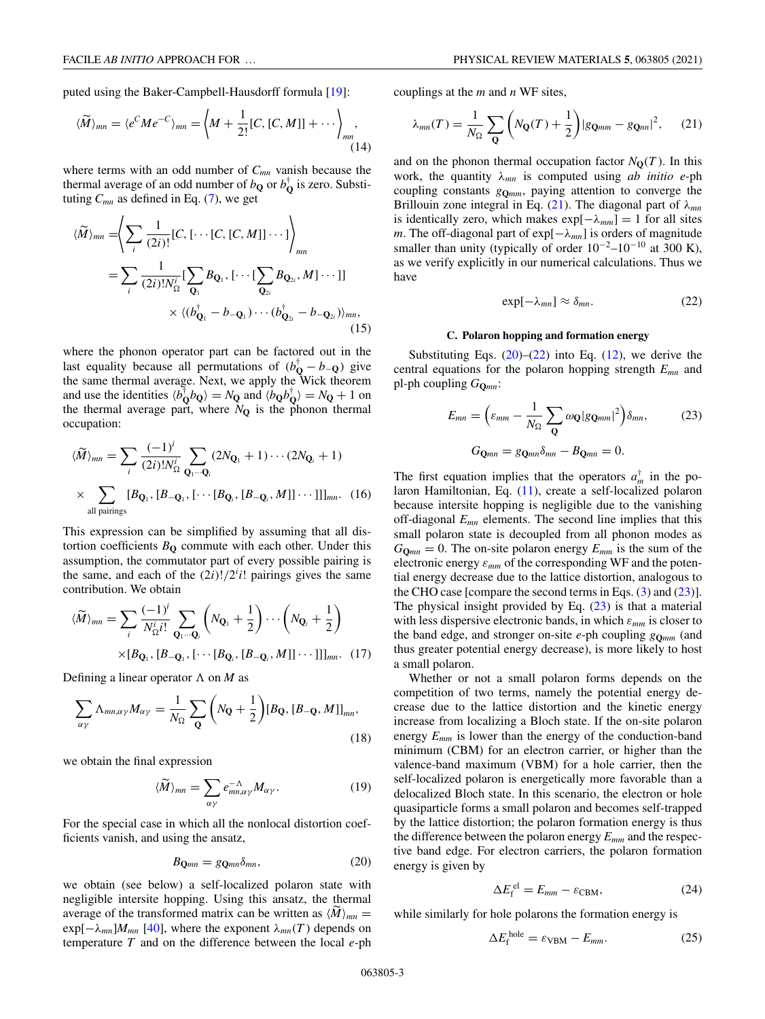<span id="page-2-0"></span>puted using the Baker-Campbell-Hausdorff formula [\[19\]](#page-5-0):

$$
\langle \widetilde{M} \rangle_{mn} = \langle e^C M e^{-C} \rangle_{mn} = \left\langle M + \frac{1}{2!} [C, [C, M]] + \cdots \right\rangle_{mn}
$$
\n(14)

where terms with an odd number of  $C_{mn}$  vanish because the thermal average of an odd number of  $b_{\mathbf{Q}}$  or  $b^{\dagger}_{\mathbf{Q}}$  is zero. Substituting  $C_{mn}$  as defined in Eq. [\(7\)](#page-1-0), we get

$$
\langle \widetilde{M} \rangle_{mn} = \left\langle \sum_{i} \frac{1}{(2i)!} [C, [\cdots [C, [C, M]] \cdots] \right\rangle_{mn}
$$
  
= 
$$
\sum_{i} \frac{1}{(2i)! N_{\Omega}^{i}} [\sum_{\mathbf{Q}_{1}} B_{\mathbf{Q}_{1}}, [\cdots [\sum_{\mathbf{Q}_{2i}} B_{\mathbf{Q}_{2i}}, M] \cdots]]
$$
  

$$
\times \langle (b_{\mathbf{Q}_{1}}^{\dagger} - b_{-\mathbf{Q}_{1}}) \cdots (b_{\mathbf{Q}_{2i}}^{\dagger} - b_{-\mathbf{Q}_{2i}}) \rangle_{mn},
$$
(15)

where the phonon operator part can be factored out in the last equality because all permutations of  $(b_{\mathbf{Q}}^{\dagger} - b_{-\mathbf{Q}})$  give the same thermal average. Next, we apply the Wick theorem and use the identities  $\langle b_{\mathbf{Q}}^{\dagger} b_{\mathbf{Q}} \rangle = N_{\mathbf{Q}}$  and  $\langle b_{\mathbf{Q}} b_{\mathbf{Q}}^{\dagger} \rangle = N_{\mathbf{Q}} + 1$  on the thermal average part, where  $N_{\mathbf{Q}}$  is the phonon thermal occupation:

$$
\langle \widetilde{M} \rangle_{mn} = \sum_{i} \frac{(-1)^i}{(2i)! N_{\Omega}^i} \sum_{\mathbf{Q}_1 \cdots \mathbf{Q}_i} (2N_{\mathbf{Q}_1} + 1) \cdots (2N_{\mathbf{Q}_i} + 1)
$$
  
 
$$
\times \sum_{\text{all pairings}} [B_{\mathbf{Q}_1}, [B_{-\mathbf{Q}_1}, [\cdots [B_{\mathbf{Q}_i}, [B_{-\mathbf{Q}_i}, M]] \cdots]]]_{mn}. \quad (16)
$$

This expression can be simplified by assuming that all distortion coefficients  $B<sub>O</sub>$  commute with each other. Under this assumption, the commutator part of every possible pairing is the same, and each of the  $(2i)!/2<sup>i</sup>i!$  pairings gives the same contribution. We obtain

$$
\langle \widetilde{M} \rangle_{mn} = \sum_{i} \frac{(-1)^{i}}{N_{\Omega}^{i} i!} \sum_{\mathbf{Q}_{i} \cdots \mathbf{Q}_{i}} \left( N_{\mathbf{Q}_{i}} + \frac{1}{2} \right) \cdots \left( N_{\mathbf{Q}_{i}} + \frac{1}{2} \right)
$$

$$
\times [B_{\mathbf{Q}_{1}}, [B_{-\mathbf{Q}_{1}}, [\cdots [B_{\mathbf{Q}_{i}}, [B_{-\mathbf{Q}_{i}}, M]] \cdots]]_{mn} . (17)
$$

Defining a linear operator  $\Lambda$  on *M* as

$$
\sum_{\alpha\gamma} \Lambda_{mn,\alpha\gamma} M_{\alpha\gamma} = \frac{1}{N_{\Omega}} \sum_{\mathbf{Q}} \left( N_{\mathbf{Q}} + \frac{1}{2} \right) [B_{\mathbf{Q}}, [B_{-\mathbf{Q}}, M]]_{mn},\tag{18}
$$

we obtain the final expression

$$
\langle \widetilde{M} \rangle_{mn} = \sum_{\alpha \gamma} e^{-\Lambda}_{mn,\alpha \gamma} M_{\alpha \gamma}.
$$
 (19)

For the special case in which all the nonlocal distortion coefficients vanish, and using the ansatz,

$$
B_{\mathbf{Q}mn} = g_{\mathbf{Q}mn}\delta_{mn},\tag{20}
$$

we obtain (see below) a self-localized polaron state with negligible intersite hopping. Using this ansatz, the thermal average of the transformed matrix can be written as  $\langle M \rangle_{mn} =$  $\exp[-\lambda_{mn}]M_{mn}$  [\[40\]](#page-6-0), where the exponent  $\lambda_{mn}(T)$  depends on temperature *T* and on the difference between the local *e*-ph couplings at the *m* and *n* WF sites,

$$
\lambda_{mn}(T) = \frac{1}{N_{\Omega}} \sum_{\mathbf{Q}} \left( N_{\mathbf{Q}}(T) + \frac{1}{2} \right) |g_{\mathbf{Q}^{mm}} - g_{\mathbf{Q}^{nn}}|^2, \quad (21)
$$

and on the phonon thermal occupation factor  $N_{\mathbf{Q}}(T)$ . In this work, the quantity λ*mn* is computed using *ab initio e*-ph coupling constants *g***Q***mm*, paying attention to converge the Brillouin zone integral in Eq. (21). The diagonal part of λ*mn* is identically zero, which makes  $exp[-\lambda_{mm}] = 1$  for all sites *m*. The off-diagonal part of exp[−λ*mn*] is orders of magnitude smaller than unity (typically of order  $10^{-2}$ – $10^{-10}$  at 300 K), as we verify explicitly in our numerical calculations. Thus we have

$$
\exp[-\lambda_{mn}] \approx \delta_{mn}.\tag{22}
$$

### **C. Polaron hopping and formation energy**

Substituting Eqs.  $(20)$ – $(22)$  into Eq.  $(12)$ , we derive the central equations for the polaron hopping strength *Emn* and pl-ph coupling *G***Q***mn*:

$$
E_{mn} = \left(\varepsilon_{mm} - \frac{1}{N_{\Omega}} \sum_{\mathbf{Q}} \omega_{\mathbf{Q}} |g_{\mathbf{Q}mm}|^2 \right) \delta_{mn},
$$
\n
$$
G_{\mathbf{Q}mn} = g_{\mathbf{Q}mn} \delta_{mn} - B_{\mathbf{Q}mn} = 0.
$$
\n(23)

The first equation implies that the operators  $a_m^{\dagger}$  in the polaron Hamiltonian, Eq. [\(11\)](#page-1-0), create a self-localized polaron because intersite hopping is negligible due to the vanishing off-diagonal *Emn* elements. The second line implies that this small polaron state is decoupled from all phonon modes as  $G_{\mathbf{Q}_{mn}} = 0$ . The on-site polaron energy  $E_{mm}$  is the sum of the electronic energy ε*mm* of the corresponding WF and the potential energy decrease due to the lattice distortion, analogous to the CHO case [compare the second terms in Eqs. [\(3\)](#page-1-0) and (23)]. The physical insight provided by Eq.  $(23)$  is that a material with less dispersive electronic bands, in which  $\varepsilon_{mm}$  is closer to the band edge, and stronger on-site *e*-ph coupling *g***Q***mm* (and thus greater potential energy decrease), is more likely to host a small polaron.

Whether or not a small polaron forms depends on the competition of two terms, namely the potential energy decrease due to the lattice distortion and the kinetic energy increase from localizing a Bloch state. If the on-site polaron energy  $E_{mm}$  is lower than the energy of the conduction-band minimum (CBM) for an electron carrier, or higher than the valence-band maximum (VBM) for a hole carrier, then the self-localized polaron is energetically more favorable than a delocalized Bloch state. In this scenario, the electron or hole quasiparticle forms a small polaron and becomes self-trapped by the lattice distortion; the polaron formation energy is thus the difference between the polaron energy *Emm* and the respective band edge. For electron carriers, the polaron formation energy is given by

$$
\Delta E_{\rm f}^{\,\mathrm{el}} = E_{mm} - \varepsilon_{\rm CBM},\tag{24}
$$

while similarly for hole polarons the formation energy is

$$
\Delta E_{\rm f}^{\rm hole} = \varepsilon_{\rm VBM} - E_{mm}.\tag{25}
$$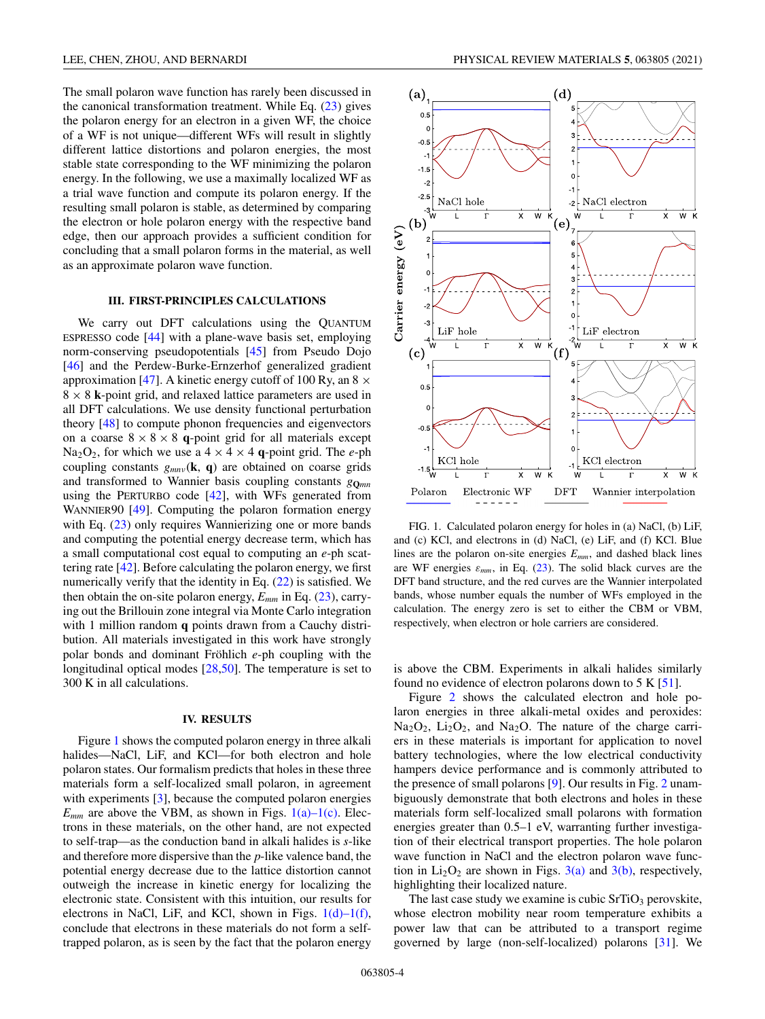<span id="page-3-0"></span>The small polaron wave function has rarely been discussed in the canonical transformation treatment. While Eq.  $(23)$  gives the polaron energy for an electron in a given WF, the choice of a WF is not unique—different WFs will result in slightly different lattice distortions and polaron energies, the most stable state corresponding to the WF minimizing the polaron energy. In the following, we use a maximally localized WF as a trial wave function and compute its polaron energy. If the resulting small polaron is stable, as determined by comparing the electron or hole polaron energy with the respective band edge, then our approach provides a sufficient condition for concluding that a small polaron forms in the material, as well as an approximate polaron wave function.

### **III. FIRST-PRINCIPLES CALCULATIONS**

We carry out DFT calculations using the QUANTUM ESPRESSO code [\[44\]](#page-6-0) with a plane-wave basis set, employing norm-conserving pseudopotentials [\[45\]](#page-6-0) from Pseudo Dojo [\[46\]](#page-6-0) and the Perdew-Burke-Ernzerhof generalized gradient approximation [\[47\]](#page-6-0). A kinetic energy cutoff of 100 Ry, an  $8 \times$  $8 \times 8$  **k**-point grid, and relaxed lattice parameters are used in all DFT calculations. We use density functional perturbation theory [\[48\]](#page-6-0) to compute phonon frequencies and eigenvectors on a coarse  $8 \times 8 \times 8$  **q**-point grid for all materials except Na<sub>2</sub>O<sub>2</sub>, for which we use a  $4 \times 4 \times 4$  **q**-point grid. The *e*-ph coupling constants  $g_{mn\nu}(\mathbf{k}, \mathbf{q})$  are obtained on coarse grids and transformed to Wannier basis coupling constants  $g_{\Omega_{mn}}$ using the PERTURBO code  $[42]$ , with WFs generated from WANNIER90 [\[49\]](#page-6-0). Computing the polaron formation energy with Eq.  $(23)$  only requires Wannierizing one or more bands and computing the potential energy decrease term, which has a small computational cost equal to computing an *e*-ph scattering rate [\[42\]](#page-6-0). Before calculating the polaron energy, we first numerically verify that the identity in Eq. [\(22\)](#page-2-0) is satisfied. We then obtain the on-site polaron energy,  $E_{mm}$  in Eq.  $(23)$ , carrying out the Brillouin zone integral via Monte Carlo integration with 1 million random **q** points drawn from a Cauchy distribution. All materials investigated in this work have strongly polar bonds and dominant Fröhlich *e*-ph coupling with the longitudinal optical modes [\[28](#page-5-0)[,50\]](#page-6-0). The temperature is set to 300 K in all calculations.

## **IV. RESULTS**

Figure 1 shows the computed polaron energy in three alkali halides—NaCl, LiF, and KCl—for both electron and hole polaron states. Our formalism predicts that holes in these three materials form a self-localized small polaron, in agreement with experiments [\[3\]](#page-5-0), because the computed polaron energies  $E_{mm}$  are above the VBM, as shown in Figs.  $1(a)-1(c)$ . Electrons in these materials, on the other hand, are not expected to self-trap—as the conduction band in alkali halides is *s*-like and therefore more dispersive than the *p*-like valence band, the potential energy decrease due to the lattice distortion cannot outweigh the increase in kinetic energy for localizing the electronic state. Consistent with this intuition, our results for electrons in NaCl, LiF, and KCl, shown in Figs.  $1(d) - 1(f)$ , conclude that electrons in these materials do not form a selftrapped polaron, as is seen by the fact that the polaron energy



FIG. 1. Calculated polaron energy for holes in (a) NaCl, (b) LiF, and (c) KCl, and electrons in (d) NaCl, (e) LiF, and (f) KCl. Blue lines are the polaron on-site energies *Emm*, and dashed black lines are WF energies  $\varepsilon_{mm}$ , in Eq. [\(23\)](#page-2-0). The solid black curves are the DFT band structure, and the red curves are the Wannier interpolated bands, whose number equals the number of WFs employed in the calculation. The energy zero is set to either the CBM or VBM, respectively, when electron or hole carriers are considered.

is above the CBM. Experiments in alkali halides similarly found no evidence of electron polarons down to  $5 K [51]$  $5 K [51]$ .

Figure [2](#page-4-0) shows the calculated electron and hole polaron energies in three alkali-metal oxides and peroxides:  $Na<sub>2</sub>O<sub>2</sub>$ , Li<sub>2</sub>O<sub>2</sub>, and Na<sub>2</sub>O. The nature of the charge carriers in these materials is important for application to novel battery technologies, where the low electrical conductivity hampers device performance and is commonly attributed to the presence of small polarons [\[9\]](#page-5-0). Our results in Fig. [2](#page-4-0) unambiguously demonstrate that both electrons and holes in these materials form self-localized small polarons with formation energies greater than 0.5–1 eV, warranting further investigation of their electrical transport properties. The hole polaron wave function in NaCl and the electron polaron wave function in  $Li_2O_2$  are shown in Figs. [3\(a\)](#page-4-0) and [3\(b\),](#page-4-0) respectively, highlighting their localized nature.

The last case study we examine is cubic  $SrTiO<sub>3</sub>$  perovskite, whose electron mobility near room temperature exhibits a power law that can be attributed to a transport regime governed by large (non-self-localized) polarons [\[31\]](#page-5-0). We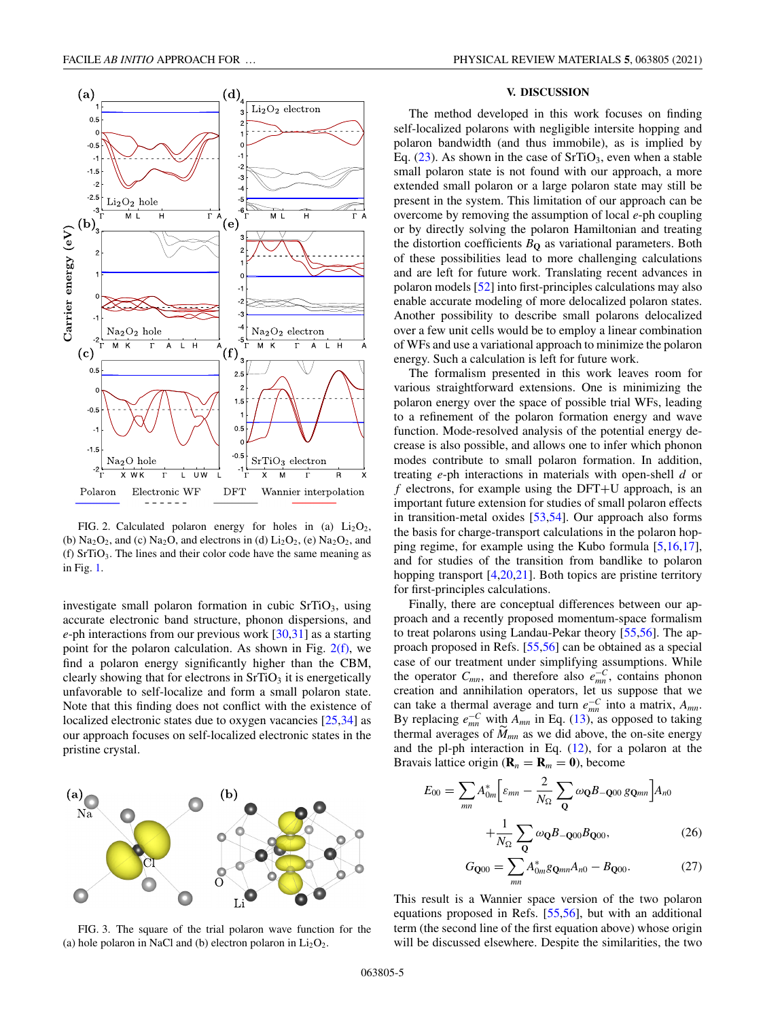<span id="page-4-0"></span>

FIG. 2. Calculated polaron energy for holes in (a)  $Li<sub>2</sub>O<sub>2</sub>$ , (b)  $Na<sub>2</sub>O<sub>2</sub>$ , and (c)  $Na<sub>2</sub>O$ , and electrons in (d)  $Li<sub>2</sub>O<sub>2</sub>$ , (e)  $Na<sub>2</sub>O<sub>2</sub>$ , and (f) SrTiO3. The lines and their color code have the same meaning as in Fig. [1.](#page-3-0)

investigate small polaron formation in cubic  $SrTiO<sub>3</sub>$ , using accurate electronic band structure, phonon dispersions, and *e*-ph interactions from our previous work [\[30,31\]](#page-5-0) as a starting point for the polaron calculation. As shown in Fig. 2(f), we find a polaron energy significantly higher than the CBM, clearly showing that for electrons in  $SrTiO<sub>3</sub>$  it is energetically unfavorable to self-localize and form a small polaron state. Note that this finding does not conflict with the existence of localized electronic states due to oxygen vacancies [\[25,34\]](#page-5-0) as our approach focuses on self-localized electronic states in the pristine crystal.



FIG. 3. The square of the trial polaron wave function for the (a) hole polaron in NaCl and (b) electron polaron in  $Li<sub>2</sub>O<sub>2</sub>$ .

### **V. DISCUSSION**

The method developed in this work focuses on finding self-localized polarons with negligible intersite hopping and polaron bandwidth (and thus immobile), as is implied by Eq.  $(23)$ . As shown in the case of SrTiO<sub>3</sub>, even when a stable small polaron state is not found with our approach, a more extended small polaron or a large polaron state may still be present in the system. This limitation of our approach can be overcome by removing the assumption of local *e*-ph coupling or by directly solving the polaron Hamiltonian and treating the distortion coefficients  $B<sub>O</sub>$  as variational parameters. Both of these possibilities lead to more challenging calculations and are left for future work. Translating recent advances in polaron models [\[52\]](#page-6-0) into first-principles calculations may also enable accurate modeling of more delocalized polaron states. Another possibility to describe small polarons delocalized over a few unit cells would be to employ a linear combination of WFs and use a variational approach to minimize the polaron energy. Such a calculation is left for future work.

The formalism presented in this work leaves room for various straightforward extensions. One is minimizing the polaron energy over the space of possible trial WFs, leading to a refinement of the polaron formation energy and wave function. Mode-resolved analysis of the potential energy decrease is also possible, and allows one to infer which phonon modes contribute to small polaron formation. In addition, treating *e*-ph interactions in materials with open-shell *d* or *f* electrons, for example using the DFT+U approach, is an important future extension for studies of small polaron effects in transition-metal oxides [\[53,54\]](#page-6-0). Our approach also forms the basis for charge-transport calculations in the polaron hopping regime, for example using the Kubo formula [\[5,16,17\]](#page-5-0), and for studies of the transition from bandlike to polaron hopping transport  $[4,20,21]$ . Both topics are pristine territory for first-principles calculations.

Finally, there are conceptual differences between our approach and a recently proposed momentum-space formalism to treat polarons using Landau-Pekar theory [\[55,56\]](#page-6-0). The approach proposed in Refs. [\[55,56\]](#page-6-0) can be obtained as a special case of our treatment under simplifying assumptions. While the operator  $C_{mn}$ , and therefore also  $e_{mn}^{-C}$ , contains phonon creation and annihilation operators, let us suppose that we can take a thermal average and turn  $e_{mn}^{-C}$  into a matrix,  $A_{mn}$ . By replacing  $e_{mn}^{-C}$  with  $A_{mn}$  in Eq. [\(13\)](#page-1-0), as opposed to taking thermal averages of  $\tilde{M}_{mn}$  as we did above, the on-site energy and the pl-ph interaction in Eq.  $(12)$ , for a polaron at the Bravais lattice origin ( $\mathbf{R}_n = \mathbf{R}_m = 0$ ), become

$$
E_{00} = \sum_{mn} A_{0m}^* \left[ \varepsilon_{mn} - \frac{2}{N_{\Omega}} \sum_{\mathbf{Q}} \omega_{\mathbf{Q}} B_{-\mathbf{Q}00} g_{\mathbf{Q}mn} \right] A_{n0}
$$

$$
+ \frac{1}{N_{\Omega}} \sum_{\mathbf{Q}} \omega_{\mathbf{Q}} B_{-\mathbf{Q}00} B_{\mathbf{Q}00}, \tag{26}
$$

$$
G_{\mathbf{Q}00} = \sum_{mn} A_{0m}^* g_{\mathbf{Q}mn} A_{n0} - B_{\mathbf{Q}00}.
$$
 (27)

This result is a Wannier space version of the two polaron equations proposed in Refs. [\[55,56\]](#page-6-0), but with an additional term (the second line of the first equation above) whose origin will be discussed elsewhere. Despite the similarities, the two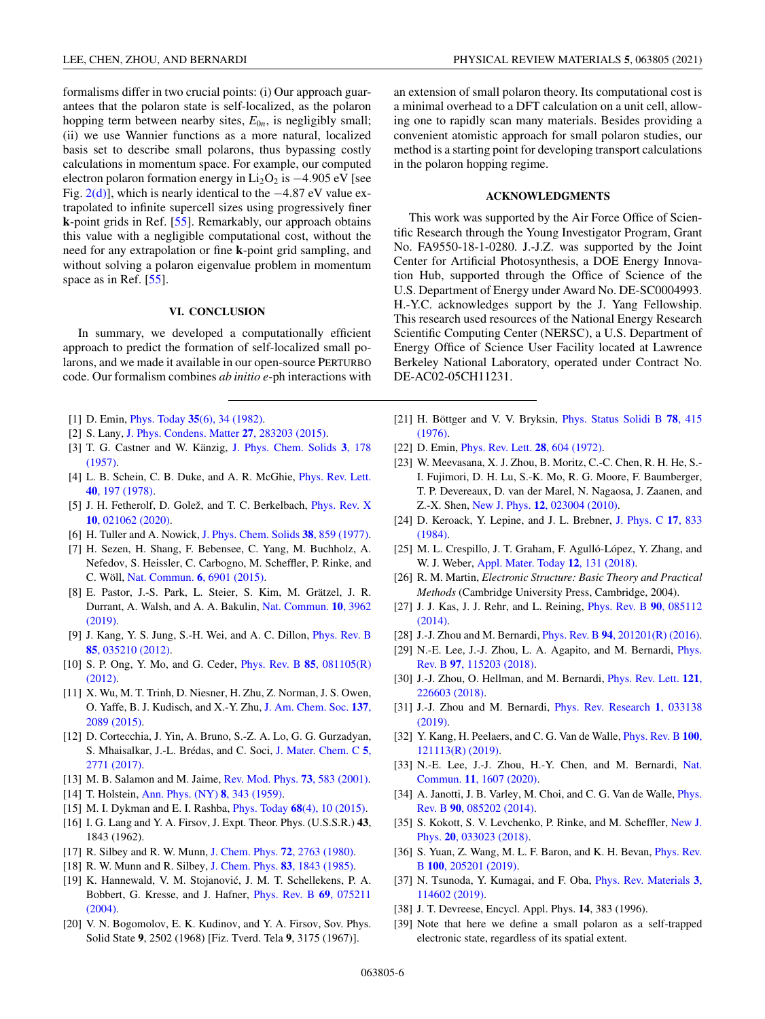<span id="page-5-0"></span>formalisms differ in two crucial points: (i) Our approach guarantees that the polaron state is self-localized, as the polaron hopping term between nearby sites,  $E_{0n}$ , is negligibly small; (ii) we use Wannier functions as a more natural, localized basis set to describe small polarons, thus bypassing costly calculations in momentum space. For example, our computed electron polaron formation energy in Li<sub>2</sub>O<sub>2</sub> is  $-4.905$  eV [see Fig. [2\(d\)\]](#page-4-0), which is nearly identical to the −4.87 eV value extrapolated to infinite supercell sizes using progressively finer **k**-point grids in Ref. [\[55\]](#page-6-0). Remarkably, our approach obtains this value with a negligible computational cost, without the need for any extrapolation or fine **k**-point grid sampling, and without solving a polaron eigenvalue problem in momentum space as in Ref. [\[55\]](#page-6-0).

# **VI. CONCLUSION**

In summary, we developed a computationally efficient approach to predict the formation of self-localized small polarons, and we made it available in our open-source PERTURBO code. Our formalism combines *ab initio e*-ph interactions with

- [1] D. Emin, Phys. Today **35**[\(6\), 34 \(1982\).](https://doi.org/10.1063/1.2938044)
- [2] S. Lany, [J. Phys. Condens. Matter](https://doi.org/10.1088/0953-8984/27/28/283203) **27**, 283203 (2015).
- [3] [T. G. Castner and W. Känzig,](https://doi.org/10.1016/0022-3697(57)90023-9) J. Phys. Chem. Solids **3**, 178 (1957).
- [4] [L. B. Schein, C. B. Duke, and A. R. McGhie,](https://doi.org/10.1103/PhysRevLett.40.197) Phys. Rev. Lett. **40**, 197 (1978).
- [5] [J. H. Fetherolf, D. Golež, and T. C. Berkelbach,](https://doi.org/10.1103/PhysRevX.10.021062) Phys. Rev. X **10**, 021062 (2020).
- [6] H. Tuller and A. Nowick, [J. Phys. Chem. Solids](https://doi.org/10.1016/0022-3697(77)90124-X) **38**, 859 (1977).
- [7] H. Sezen, H. Shang, F. Bebensee, C. Yang, M. Buchholz, A. Nefedov, S. Heissler, C. Carbogno, M. Scheffler, P. Rinke, and C. Wöll, [Nat. Commun.](https://doi.org/10.1038/ncomms7901) **6**, 6901 (2015).
- [8] E. Pastor, J.-S. Park, L. Steier, S. Kim, M. Grätzel, J. R. [Durrant, A. Walsh, and A. A. Bakulin,](https://doi.org/10.1038/s41467-019-11767-9) Nat. Commun. **10**, 3962 (2019).
- [9] [J. Kang, Y. S. Jung, S.-H. Wei, and A. C. Dillon,](https://doi.org/10.1103/PhysRevB.85.035210) Phys. Rev. B **85**, 035210 (2012).
- [10] [S. P. Ong, Y. Mo, and G. Ceder,](https://doi.org/10.1103/PhysRevB.85.081105) Phys. Rev. B **85**, 081105(R) (2012).
- [11] X. Wu, M. T. Trinh, D. Niesner, H. Zhu, Z. Norman, J. S. Owen, [O. Yaffe, B. J. Kudisch, and X.-Y. Zhu,](https://doi.org/10.1021/ja512833n) J. Am. Chem. Soc. **137**, 2089 (2015).
- [12] D. Cortecchia, J. Yin, A. Bruno, S.-Z. A. Lo, G. G. Gurzadyan, [S. Mhaisalkar, J.-L. Brédas, and C. Soci,](https://doi.org/10.1039/C7TC00366H) J. Mater. Chem. C **5**, 2771 (2017).
- [13] M. B. Salamon and M. Jaime, [Rev. Mod. Phys.](https://doi.org/10.1103/RevModPhys.73.583) **73**, 583 (2001).
- [14] T. Holstein, [Ann. Phys. \(NY\)](https://doi.org/10.1016/0003-4916(59)90003-X) **8**, 343 (1959).
- [15] M. I. Dykman and E. I. Rashba, Phys. Today **68**[\(4\), 10 \(2015\).](https://doi.org/10.1063/PT.3.2735)
- [16] I. G. Lang and Y. A. Firsov, J. Expt. Theor. Phys. (U.S.S.R.) **43**, 1843 (1962).
- [17] R. Silbey and R. W. Munn, [J. Chem. Phys.](https://doi.org/10.1063/1.439425) **72**, 2763 (1980).
- [18] R. W. Munn and R. Silbey, [J. Chem. Phys.](https://doi.org/10.1063/1.449372) **83**, 1843 (1985).
- [19] K. Hannewald, V. M. Stojanović, J. M. T. Schellekens, P. A. [Bobbert, G. Kresse, and J. Hafner,](https://doi.org/10.1103/PhysRevB.69.075211) Phys. Rev. B **69**, 075211 (2004).
- [20] V. N. Bogomolov, E. K. Kudinov, and Y. A. Firsov, Sov. Phys. Solid State **9**, 2502 (1968) [Fiz. Tverd. Tela **9**, 3175 (1967)].

an extension of small polaron theory. Its computational cost is a minimal overhead to a DFT calculation on a unit cell, allowing one to rapidly scan many materials. Besides providing a convenient atomistic approach for small polaron studies, our method is a starting point for developing transport calculations in the polaron hopping regime.

### **ACKNOWLEDGMENTS**

This work was supported by the Air Force Office of Scientific Research through the Young Investigator Program, Grant No. FA9550-18-1-0280. J.-J.Z. was supported by the Joint Center for Artificial Photosynthesis, a DOE Energy Innovation Hub, supported through the Office of Science of the U.S. Department of Energy under Award No. DE-SC0004993. H.-Y.C. acknowledges support by the J. Yang Fellowship. This research used resources of the National Energy Research Scientific Computing Center (NERSC), a U.S. Department of Energy Office of Science User Facility located at Lawrence Berkeley National Laboratory, operated under Contract No. DE-AC02-05CH11231.

- [21] [H. Böttger and V. V. Bryksin,](https://doi.org/10.1002/pssb.2220780202) Phys. Status Solidi B **78**, 415 (1976).
- [22] D. Emin, [Phys. Rev. Lett.](https://doi.org/10.1103/PhysRevLett.28.604) **28**, 604 (1972).
- [23] W. Meevasana, X. J. Zhou, B. Moritz, C.-C. Chen, R. H. He, S.- I. Fujimori, D. H. Lu, S.-K. Mo, R. G. Moore, F. Baumberger, T. P. Devereaux, D. van der Marel, N. Nagaosa, J. Zaanen, and Z.-X. Shen, New J. Phys. **12**[, 023004 \(2010\).](https://doi.org/10.1088/1367-2630/12/2/023004)
- [24] [D. Keroack, Y. Lepine, and J. L. Brebner,](https://doi.org/10.1088/0022-3719/17/5/013) J. Phys. C **17**, 833 (1984).
- [25] M. L. Crespillo, J. T. Graham, F. Agulló-López, Y. Zhang, and W. J. Weber, [Appl. Mater. Today](https://doi.org/10.1016/j.apmt.2018.04.006) **12**, 131 (2018).
- [26] R. M. Martin, *Electronic Structure: Basic Theory and Practical Methods* (Cambridge University Press, Cambridge, 2004).
- [27] [J. J. Kas, J. J. Rehr, and L. Reining,](https://doi.org/10.1103/PhysRevB.90.085112) Phys. Rev. B **90**, 085112 (2014).
- [28] J.-J. Zhou and M. Bernardi, Phys. Rev. B **94**[, 201201\(R\) \(2016\).](https://doi.org/10.1103/PhysRevB.94.201201)
- [29] [N.-E. Lee, J.-J. Zhou, L. A. Agapito, and M. Bernardi,](https://doi.org/10.1103/PhysRevB.97.115203) Phys. Rev. B **97**, 115203 (2018).
- [30] [J.-J. Zhou, O. Hellman, and M. Bernardi,](https://doi.org/10.1103/PhysRevLett.121.226603) Phys. Rev. Lett. **121**, 226603 (2018).
- [31] [J.-J. Zhou and M. Bernardi,](https://doi.org/10.1103/PhysRevResearch.1.033138) Phys. Rev. Research **1**, 033138 (2019).
- [32] [Y. Kang, H. Peelaers, and C. G. Van de Walle,](https://doi.org/10.1103/PhysRevB.100.121113) Phys. Rev. B **100**, 121113(R) (2019).
- [33] [N.-E. Lee, J.-J. Zhou, H.-Y. Chen, and M. Bernardi,](https://doi.org/10.1038/s41467-020-15339-0) Nat. Commun. **11**, 1607 (2020).
- [34] [A. Janotti, J. B. Varley, M. Choi, and C. G. Van de Walle,](https://doi.org/10.1103/PhysRevB.90.085202) *Phys.* Rev. B **90**, 085202 (2014).
- [35] [S. Kokott, S. V. Levchenko, P. Rinke, and M. Scheffler,](https://doi.org/10.1088/1367-2630/aaaf44) New J. Phys. **20**, 033023 (2018).
- [36] [S. Yuan, Z. Wang, M. L. F. Baron, and K. H. Bevan,](https://doi.org/10.1103/PhysRevB.100.205201) *Phys. Rev.* B **100**, 205201 (2019).
- [37] [N. Tsunoda, Y. Kumagai, and F. Oba,](https://doi.org/10.1103/PhysRevMaterials.3.114602) Phys. Rev. Materials **3**, 114602 (2019).
- [38] J. T. Devreese, Encycl. Appl. Phys. **14**, 383 (1996).
- [39] Note that here we define a small polaron as a self-trapped electronic state, regardless of its spatial extent.